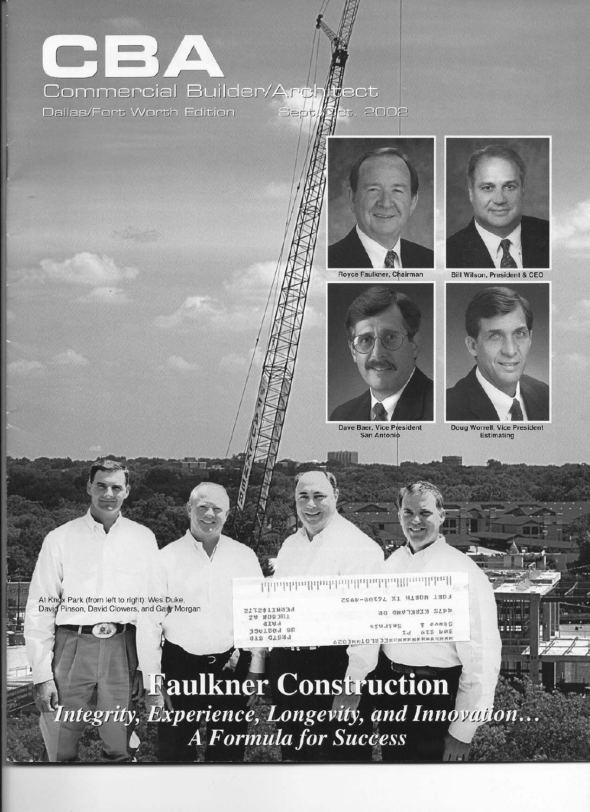

<u>եներնենաքինակնանքնանեսնքնացիկավ</u>

Dave Baer, Vice President **San Antonio** 





Doug Worrell, Vice President **Estimating** 

A







Royce Faulkner, Chairman

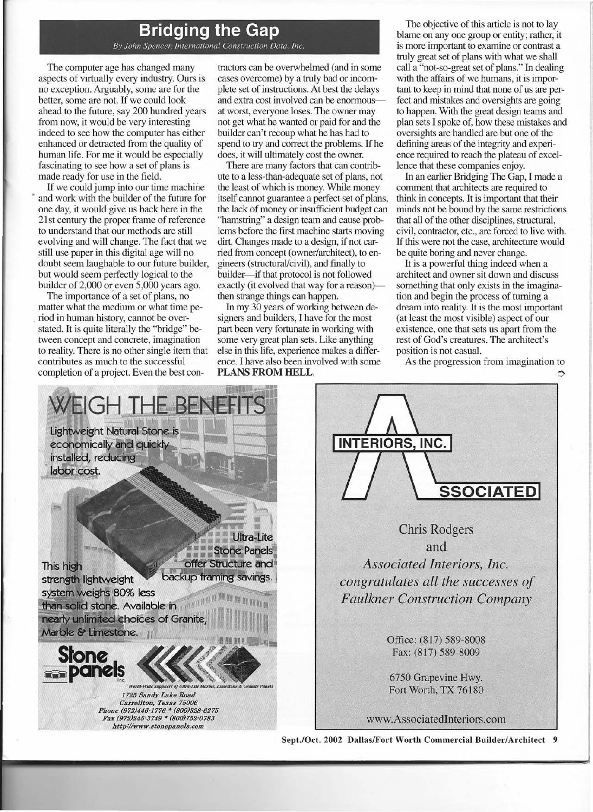## **Bridging the Gap** *B\' John Spencer; International Construction Data. Inc.*

The computer age has changed many aspects of virtually every industry. Ours is no exception. Arguably, some are for the better, some are not. If we could look ahead to the future, say 200 hundred years from now, it would be very interesting indeed to see how the computer has either enhanced or detracted from the quality of human life, For me it would be especially fascinating to see how a set of plans is made ready for use in the field.

If we could jump into our time machine and work with the builder of the future for one day, it would give us back here in the 21st century the proper frame of reference to understand that our methods are still evolving and will change. The fact that we still use paper in this digital age will no doubt seem laughable to our future builder, but would seem perfectly logical to the builder of 2,000 or even 5,000 years ago.

The importance of a set of plans, no matter what the medium or what time pe- . riod in human history, cannot be overstated. It is quite literally the ''bridge'' between concept and concrete, imagination to reality. There is no other single item that contributes as much to the successful completion of a project. Even the best contractors can be overwhelmed (and in some cases overcome) by a truly bad or incomplete set of instructions, At best the delays and extra cost involved can be enormousat worst, everyone loses. The owner may not get what he wanted or paid for and the builder can't recoup what he has had to spend to try and correct the problems. If he does, it will ultimately cost the owner.

There are many factors that can contribute to a less-than-adequate set of plans, not the least of which is money, While money itself cannot guarantee a perfect set of plans, the lack of money or insufficient budget can "hamstring" a design team and cause problems before the first machine starts moving dirt, Changes made to a design, if not carried from concept (owner/architect), to engineers (structural/civil), and finally to builder-if that protocol is not followed exactly (it evolved that way for a reason)then strange things can happen.

In my 30 years of working between designers and builders, I have for the most part been very fortunate in working with some very great plan sets, Like anything else in this life, experience makes a difference. I have also been involved with some PLANS FROM HELL.

The objective of this article is not to lay blame on anyone group or entity; rather, it is more important to examine or contrast a truly great set of plans with what we shall call a "not-so-great set of plans." In dealing with the affairs of we humans, it is important to keep in mind that none of us are perfect and mistakes and oversights are going to happen. With the great design teams and plan sets I spoke of, how these mistakes and oversights are handled are but one of the defining areas of the integrity and experience required to reach the plateau of excellence that these companies enjoy.

In an earlier Bridging The Gap, I made a comment that architects are required to think in concepts. It is important that their minds not be bound by the same restrictions that all of the other disciplines, structural, civil, contractor, etc., are forced to live with, If this were not the case, architecture would be quite boring and never change.

It is a powerful thing indeed when a architect and owner sit down and discuss something that only exists in the imagination and begin the process of turning a dream into reality, It is the most important (at least the most visible) aspect of our existence, one that sets us apart from the rest of God's creatures. The architect's position is not casual.

As the progression from imagination to  $\Rightarrow$